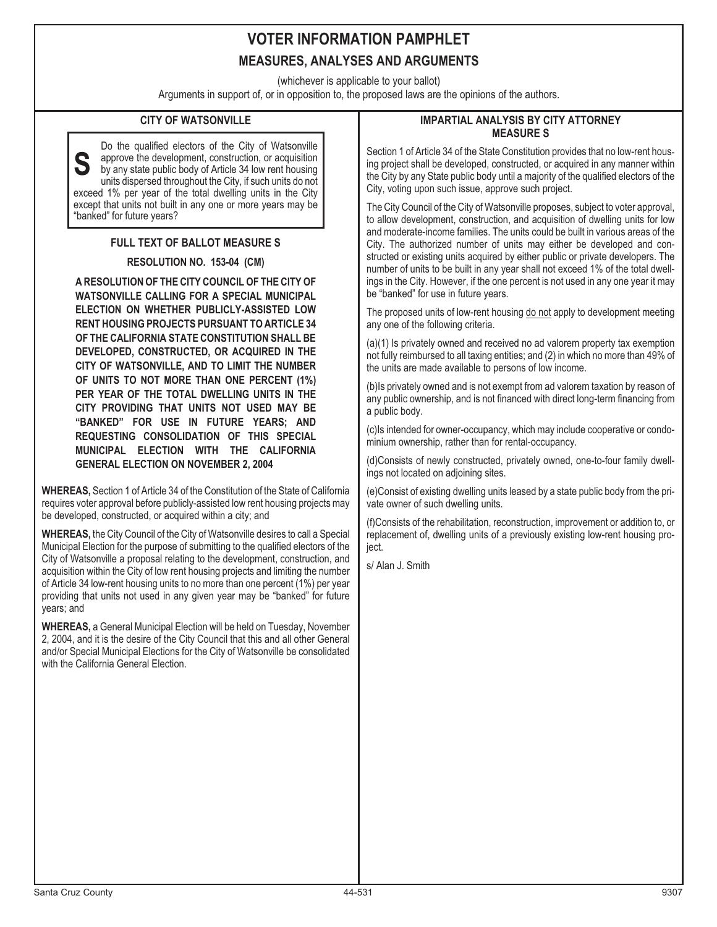# **VOTER INFORMATION PAMPHLET MEASURES, ANALYSES AND ARGUMENTS**

(whichever is applicable to your ballot)

Arguments in support of, or in opposition to, the proposed laws are the opinions of the authors.

### **CITY OF WATSONVILLE**

**S** Do the qualified electors of the City of Watsonville approve the development, construction, or acquisition by any state public body of Article 34 low rent housing units dispersed throughout the City, if such units do not exceed 1% per year of the total dwelling units in the City except that units not built in any one or more years may be "banked" for future years?

### **FULL TEXT OF BALLOT MEASURE S**

#### **RESOLUTION NO. 153-04 (CM)**

**A RESOLUTION OF THE CITY COUNCIL OF THE CITY OF WATSONVILLE CALLING FOR A SPECIAL MUNICIPAL ELECTION ON WHETHER PUBLICLY-ASSISTED LOW RENT HOUSING PROJECTS PURSUANT TO ARTICLE 34 OF THE CALIFORNIA STATE CONSTITUTION SHALL BE DEVELOPED, CONSTRUCTED, OR ACQUIRED IN THE CITY OF WATSONVILLE, AND TO LIMIT THE NUMBER OF UNITS TO NOT MORE THAN ONE PERCENT (1%) PER YEAR OF THE TOTAL DWELLING UNITS IN THE CITY PROVIDING THAT UNITS NOT USED MAY BE "BANKED" FOR USE IN FUTURE YEARS; AND REQUESTING CONSOLIDATION OF THIS SPECIAL MUNICIPAL ELECTION WITH THE CALIFORNIA GENERAL ELECTION ON NOVEMBER 2, 2004**

**WHEREAS,** Section 1 of Article 34 of the Constitution of the State of California requires voter approval before publicly-assisted low rent housing projects may be developed, constructed, or acquired within a city; and

**WHEREAS,** the City Council of the City of Watsonville desires to call a Special Municipal Election for the purpose of submitting to the qualified electors of the City of Watsonville a proposal relating to the development, construction, and acquisition within the City of low rent housing projects and limiting the number of Article 34 low-rent housing units to no more than one percent (1%) per year providing that units not used in any given year may be "banked" for future years; and

**WHEREAS,** a General Municipal Election will be held on Tuesday, November 2, 2004, and it is the desire of the City Council that this and all other General and/or Special Municipal Elections for the City of Watsonville be consolidated with the California General Election.

#### **IMPARTIAL ANALYSIS BY CITY ATTORNEY MEASURE S**

Section 1 of Article 34 of the State Constitution provides that no low-rent housing project shall be developed, constructed, or acquired in any manner within the City by any State public body until a majority of the qualified electors of the City, voting upon such issue, approve such project.

The City Council of the City of Watsonville proposes, subject to voter approval, to allow development, construction, and acquisition of dwelling units for low and moderate-income families. The units could be built in various areas of the City. The authorized number of units may either be developed and constructed or existing units acquired by either public or private developers. The number of units to be built in any year shall not exceed 1% of the total dwellings in the City. However, if the one percent is not used in any one year it may be "banked" for use in future years.

The proposed units of low-rent housing do not apply to development meeting any one of the following criteria.

(a)(1) Is privately owned and received no ad valorem property tax exemption not fully reimbursed to all taxing entities; and (2) in which no more than 49% of the units are made available to persons of low income.

(b)Is privately owned and is not exempt from ad valorem taxation by reason of any public ownership, and is not financed with direct long-term financing from a public body.

(c)Is intended for owner-occupancy, which may include cooperative or condominium ownership, rather than for rental-occupancy.

(d)Consists of newly constructed, privately owned, one-to-four family dwellings not located on adjoining sites.

(e)Consist of existing dwelling units leased by a state public body from the private owner of such dwelling units.

(f)Consists of the rehabilitation, reconstruction, improvement or addition to, or replacement of, dwelling units of a previously existing low-rent housing project.

s/ Alan J. Smith